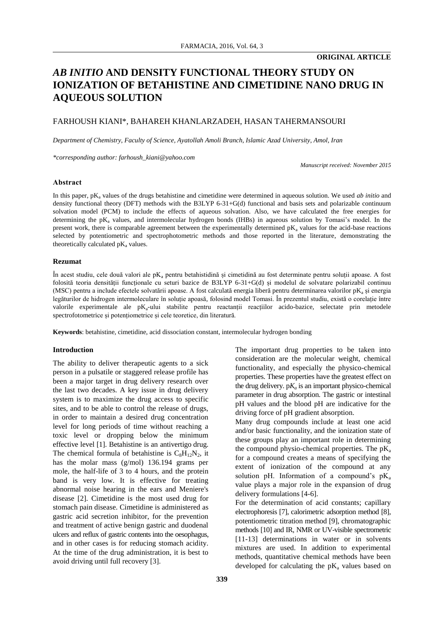# **ORIGINAL ARTICLE**

# *AB INITIO* **AND DENSITY FUNCTIONAL THEORY STUDY ON IONIZATION OF BETAHISTINE AND CIMETIDINE NANO DRUG IN AQUEOUS SOLUTION**

# FARHOUSH KIANI\*, BAHAREH KHANLARZADEH, HASAN TAHERMANSOURI

*Department of Chemistry, Faculty of Science, Ayatollah Amoli Branch, Islamic Azad University, Amol, Iran*

*\*corresponding author: farhoush\_kiani@yahoo.com*

*Manuscript received: November 2015*

# **Abstract**

In this paper, pK<sub>a</sub> values of the drugs betahistine and cimetidine were determined in aqueous solution. We used *ab initio* and density functional theory (DFT) methods with the B3LYP 6-31+G(d) functional and basis sets and polarizable continuum solvation model (PCM) to include the effects of aqueous solvation. Also, we have calculated the free energies for determining the  $pK_a$  values, and intermolecular hydrogen bonds (IHBs) in aqueous solution by Tomasi's model. In the present work, there is comparable agreement between the experimentally determined  $pK_a$  values for the acid-base reactions selected by potentiometric and spectrophotometric methods and those reported in the literature, demonstrating the theoretically calculated  $pK_a$  values.

#### **Rezumat**

În acest studiu, cele două valori ale pK<sub>a</sub> pentru betahistidină și cimetidină au fost determinate pentru soluții apoase. A fost folosită teoria densității funcționale cu seturi bazice de B3LYP 6-31+G(d) și modelul de solvatare polarizabil continuu (MSC) pentru a include efectele solvatării apoase. A fost calculată energia liberă pentru determinarea valorilor p $K_a$  și energia legăturilor de hidrogen intermoleculare în soluție apoasă, folosind model Tomasi. În prezentul studiu, există o corelație între valorile experimentale ale pK<sub>a</sub>-ului stabilite pentru reactanții reacțiilor acido-bazice, selectate prin metodele spectrofotometrice și potențiometrice și cele teoretice, din literatură.

**Keywords**: betahistine, cimetidine, acid dissociation constant, intermolecular hydrogen bonding

#### **Introduction**

The ability to deliver therapeutic agents to a sick person in a pulsatile or staggered release profile has been a major target in drug delivery research over the last two decades. A key issue in drug delivery system is to maximize the drug access to specific sites, and to be able to control the release of drugs, in order to maintain a desired drug concentration level for long periods of time without reaching a toxic level or dropping below the minimum effective level [1]. Betahistine is an antivertigo drug. The chemical formula of betahistine is  $C_8H_{12}N_2$ , it has the molar mass (g/mol) 136.194 grams per mole, the half-life of 3 to 4 hours, and the protein band is very low. It is effective for treating abnormal noise hearing in the ears and Meniere's disease [2]. Cimetidine is the most used drug for stomach pain disease. Cimetidine is administered as gastric acid secretion inhibitor, for the prevention and treatment of active benign gastric and duodenal ulcers and reflux of gastric contents into the oesophagus, and in other cases is for reducing stomach acidity. At the time of the drug administration, it is best to avoid driving until full recovery [3].

**339**

The important drug properties to be taken into consideration are the molecular weight, chemical functionality, and especially the physico-chemical properties. These properties have the greatest effect on the drug delivery.  $pK_a$  is an important physico-chemical parameter in drug absorption. The gastric or intestinal pH values and the blood pH are indicative for the driving force of pH gradient absorption.

Many drug compounds include at least one acid and/or basic functionality, and the ionization state of these groups play an important role in determining the compound physio-chemical properties. The  $pK_a$ for a compound creates a means of specifying the extent of ionization of the compound at any solution pH. Information of a compound's  $pK_a$ value plays a major role in the expansion of drug delivery formulations [4-6].

For the determination of acid constants; capillary electrophoresis [7], calorimetric adsorption method [8], potentiometric titration method [9], chromatographic methods [10] and IR, NMR or UV-visible spectrometric [11-13] determinations in water or in solvents mixtures are used. In addition to experimental methods, quantitative chemical methods have been developed for calculating the  $pK_a$  values based on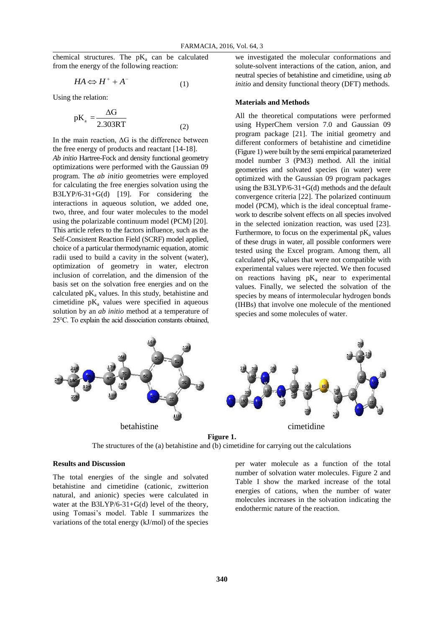chemical structures. The  $pK_a$  can be calculated from the energy of the following reaction:

$$
HA \Leftrightarrow H^+ + A^- \tag{1}
$$

Using the relation:

$$
pK_{a} = \frac{\Delta G}{2.303RT}
$$
 (2)

In the main reaction,  $\Delta G$  is the difference between the free energy of products and reactant [14-18]. *Ab initio* Hartree-Fock and density functional geometry optimizations were performed with the Gaussian 09 program. The *ab initio* geometries were employed for calculating the free energies solvation using the B3LYP/6-31+G(d) [19]. For considering the interactions in aqueous solution, we added one, two, three, and four water molecules to the model using the polarizable continuum model (PCM) [20]. This article refers to the factors influence, such as the Self-Consistent Reaction Field (SCRF) model applied, choice of a particular thermodynamic equation, atomic radii used to build a cavity in the solvent (water), optimization of geometry in water, electron inclusion of correlation, and the dimension of the basis set on the solvation free energies and on the calculated  $pK_a$  values. In this study, betahistine and cimetidine  $pK_a$  values were specified in aqueous solution by an *ab initio* method at a temperature of 25°C. To explain the acid dissociation constants obtained, we investigated the molecular conformations and solute-solvent interactions of the cation, anion, and neutral species of betahistine and cimetidine, using *ab initio* and density functional theory (DFT) methods.

## **Materials and Methods**

All the theoretical computations were performed using HyperChem version 7.0 and Gaussian 09 program package [21]. The initial geometry and different conformers of betahistine and cimetidine (Figure 1) were built by the semi empirical parameterized model number 3 (PM3) method. All the initial geometries and solvated species (in water) were optimized with the Gaussian 09 program packages using the B3LYP/6-31+G(d) methods and the default convergence criteria [22]. The polarized continuum model (PCM), which is the ideal conceptual framework to describe solvent effects on all species involved in the selected ionization reaction, was used [23]. Furthermore, to focus on the experimental  $pK_a$  values of these drugs in water, all possible conformers were tested using the Excel program. Among them, all calculated  $pK_a$  values that were not compatible with experimental values were rejected. We then focused on reactions having  $pK_a$  near to experimental values. Finally, we selected the solvation of the species by means of intermolecular hydrogen bonds (IHBs) that involve one molecule of the mentioned species and some molecules of water.



The structures of the (a) betahistine and (b) cimetidine for carrying out the calculations

#### **Results and Discussion**

The total energies of the single and solvated betahistine and cimetidine (cationic, zwitterion natural, and anionic) species were calculated in water at the B3LYP/6-31+G(d) level of the theory, using Tomasi's model. Table I summarizes the variations of the total energy (kJ/mol) of the species

per water molecule as a function of the total number of solvation water molecules. Figure 2 and Table I show the marked increase of the total energies of cations, when the number of water molecules increases in the solvation indicating the endothermic nature of the reaction.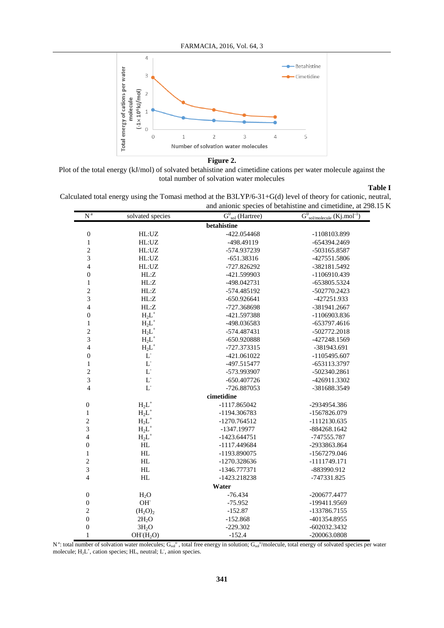

## **Figure 2.**

Plot of the total energy (kJ/mol) of solvated betahistine and cimetidine cations per water molecule against the total number of solvation water molecules

**Table I**

Calculated total energy using the Tomasi method at the B3LYP/6-31+G(d) level of theory for cationic, neutral, and anionic species of betahistine and cimetidine, at 298.15 K

| $\overline{N}^{\,a}$ | solvated species           | $G_{sol}^0$ (Hartree) | and amonic species of betainstine and emicritine, at $276$ . |
|----------------------|----------------------------|-----------------------|--------------------------------------------------------------|
|                      |                            |                       | $G^0_{sol/molecule}$ (Kj.mol <sup>-1</sup> )                 |
|                      |                            | betahistine           |                                                              |
| $\boldsymbol{0}$     | HL:UZ                      | -422.054468           | -1108103.899                                                 |
| $\mathbf{1}$         | HL:UZ                      | -498.49119            | -654394.2469                                                 |
| $\overline{c}$       | HL:UZ                      | -574.937239           | -503165.8587                                                 |
| $\overline{3}$       | HL:UZ                      | $-651.38316$          | -427551.5806                                                 |
| $\overline{4}$       | HL:UZ                      | -727.826292           | -382181.5492                                                 |
| $\boldsymbol{0}$     | HL:Z                       | -421.599903           | -1106910.439                                                 |
| $\mathbf{1}$         | HL:Z                       | -498.042731           | -653805.5324                                                 |
| $\overline{c}$       | HL:Z                       | -574.485192           | -502770.2423                                                 |
| 3                    | HL:Z                       | $-650.926641$         | -427251.933                                                  |
| $\overline{4}$       | HL:Z                       | -727.368698           | -381941.2667                                                 |
| $\boldsymbol{0}$     | $H_2L^+$                   | -421.597388           | -1106903.836                                                 |
| $\mathbf{1}$         | $H_2L^+$                   | -498.036583           | -653797.4616                                                 |
| $\overline{c}$       | $H_2L^+$                   | -574.487431           | -502772.2018                                                 |
| 3                    | $H_2L^+$                   | -650.920888           | -427248.1569                                                 |
| $\overline{4}$       | $H_2L^+$                   | -727.373315           | -381943.691                                                  |
| $\boldsymbol{0}$     | $\Gamma$                   | -421.061022           | -1105495.607                                                 |
| $\mathbf{1}$         | $\mathbf{L}$               | -497.515477           | -653113.3797                                                 |
| $\overline{c}$       | $\mathbf{L}$               | -573.993907           | -502340.2861                                                 |
| $\overline{3}$       | $\mathbf{L}$               | $-650.407726$         | -426911.3302                                                 |
| $\overline{4}$       | $\mathbf{L}$               | -726.887053           | -381688.3549                                                 |
|                      |                            | cimetidine            |                                                              |
| $\boldsymbol{0}$     | $H_2L^+$                   | -1117.865042          | -2934954.386                                                 |
| $\,1\,$              | $H_2L^+$                   | -1194.306783          | -1567826.079                                                 |
| $\overline{c}$       | $H_2L^+$                   | -1270.764512          | -1112130.635                                                 |
| 3                    | $H_2L^+$                   | -1347.19977           | $-884268.1642$                                               |
| $\overline{4}$       | $H_2L^+$                   | $-1423.644751$        | -747555.787                                                  |
| $\boldsymbol{0}$     | HL                         | -1117.449684          | -2933863.864                                                 |
| $\,1\,$              | HL                         | -1193.890075          | -1567279.046                                                 |
| $\overline{c}$       | $\mathop{\rm HL}\nolimits$ | -1270.328636          | -1111749.171                                                 |
| $\overline{3}$       | HL                         | -1346.777371          | -883990.912                                                  |
| $\overline{4}$       | HL                         | -1423.218238          | -747331.825                                                  |
|                      |                            | Water                 |                                                              |
| $\boldsymbol{0}$     | H <sub>2</sub> O           | $-76.434$             | -200677.4477                                                 |
| $\boldsymbol{0}$     | OH <sup>-</sup>            | $-75.952$             | -199411.9569                                                 |
| $\overline{c}$       | $(H_2O)_2$                 | $-152.87$             | -133786.7155                                                 |
| $\mathbf{0}$         | $2H_2O$                    | $-152.868$            | -401354.8955                                                 |
| $\boldsymbol{0}$     | 3H <sub>2</sub> O          | $-229.302$            | $-602032.3432$                                               |
| $\mathbf{1}$         | $OH^{-}(H_{2}O)$           | $-152.4$              | -200063.0808                                                 |
|                      |                            |                       |                                                              |

N<sup>a</sup>: total number of solvation water molecules; G<sub>so</sub><sup>o</sup>, total free energy in solution; G<sub>sol</sub><sup>o</sup>/molecule, total energy of solvated species per water molecule;  $H_2L^+$ , cation species; HL, neutral; L, anion species.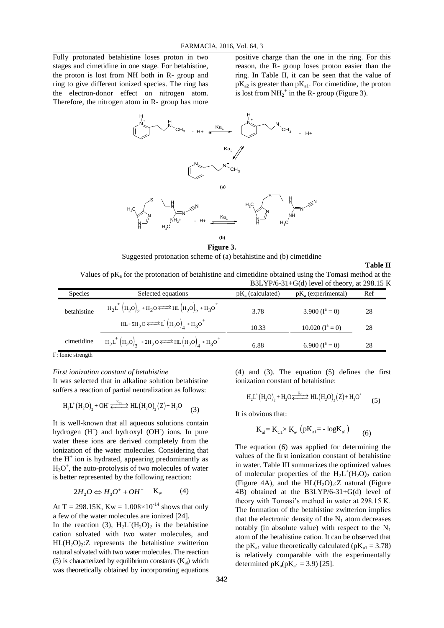Fully protonated betahistine loses proton in two stages and cimetidine in one stage. For betahistine, the proton is lost from NH both in R- group and ring to give different ionized species. The ring has the electron-donor effect on nitrogen atom. Therefore, the nitrogen atom in R- group has more positive charge than the one in the ring. For this reason, the R- group loses proton easier than the ring. In Table II, it can be seen that the value of  $pK_{a2}$  is greater than  $pK_{a1}$ . For cimetidine, the proton is lost from  $NH_2^+$  in the R- group (Figure 3).



# **Figure 3.**

Suggested protonation scheme of (a) betahistine and (b) cimetidine

**Table II**

Values of  $pK_a$  for the protonation of betahistine and cimetidine obtained using the Tomasi method at the B3LYP/6-31+G(d) level of theory, at 298.15 K

| <b>Species</b> | Selected equations                                                                                                | $pK_a$ (calculated) | $pK_a$ (experimental) | Ref |
|----------------|-------------------------------------------------------------------------------------------------------------------|---------------------|-----------------------|-----|
| betahistine    | $H_2L^{\dagger}$ $(H_2O)$ <sub>2</sub> + $H_2O \rightleftarrows H L (H_2O)$ <sub>2</sub> + $H_3O^{\dagger}$       | 3.78                | 3.900 $(I^a = 0)$     | 28  |
|                | $HL + 5H_2O \rightleftarrows L \left(H_2O\right)_4 + H_3O^+$                                                      | 10.33               | 10.020 $(I^a = 0)$    | 28  |
| cimetidine     | $H_2L^{\dagger} (H_2O)_3$ + 2H <sub>2</sub> O $\Longleftrightarrow$ HL $(H_2O)_4$ + H <sub>3</sub> O <sup>+</sup> | 6.88                | 6.900 $(I^a = 0)$     | 28  |

I<sup>a</sup>: Ionic strength

#### *First ionization constant of betahistine*

It was selected that in alkaline solution betahistine

suffers a reaction of partial neutralization as follows:  
\n
$$
H_2L^+(H_2O)_2 + OH \xleftarrow{K_{Cl}} HL(H_2O)_2(Z) + H_2O
$$
 (3)

It is well-known that all aqueous solutions contain hydrogen  $(H^+)$  and hydroxyl  $(OH^-)$  ions. In pure water these ions are derived completely from the ionization of the water molecules. Considering that the  $H^+$  ion is hydrated, appearing predominantly as  $H_3O^+$ , the auto-protolysis of two molecules of water is better represented by the following reaction:

$$
2H_2O \Leftrightarrow H_3O^+ + OH^- \quad \text{K}_{\text{w}} \tag{4}
$$

At T = 298.15K,  $Kw = 1.008 \times 10^{-14}$  shows that only a few of the water molecules are ionized [24].

In the reaction (3),  $H_2L^+(H_2O)_2$  is the betahistine cation solvated with two water molecules, and  $HL(H_2O)<sub>2</sub>:Z$  represents the betahistine zwitterion natural solvated with two water molecules. The reaction (5) is characterized by equilibrium constants  $(K_{al})$  which was theoretically obtained by incorporating equations

(4) and (3). The equation (5) defines the first ionization constant of betahistine:

$$
H_2L^+(H_2O)_2 + H_2O \xleftarrow{K_{al}} HL(H_2O)_2(Z) + H_3O^+ \tag{5}
$$

It is obvious that:

$$
K_{al} = K_{C1} \times K_{w} \left( pK_{al} = -\log K_{al} \right) \tag{6}
$$

The equation (6) was applied for determining the values of the first ionization constant of betahistine in water. Table III summarizes the optimized values of molecular properties of the  $H_2L^+(H_2O)_2$  cation (Figure 4A), and the  $HL(H_2O)_2$ : Z natural (Figure 4B) obtained at the B3LYP/6-31+G(d) level of theory with Tomasi's method in water at 298.15 K. The formation of the betahistine zwitterion implies that the electronic density of the  $N_1$  atom decreases notably (in absolute value) with respect to the  $N_1$ atom of the betahistine cation. It can be observed that the pK<sub>a1</sub> value theoretically calculated (pK<sub>a1</sub> = 3.78) is relatively comparable with the experimentally determined  $pK_a(pK_{a1} = 3.9)$  [25].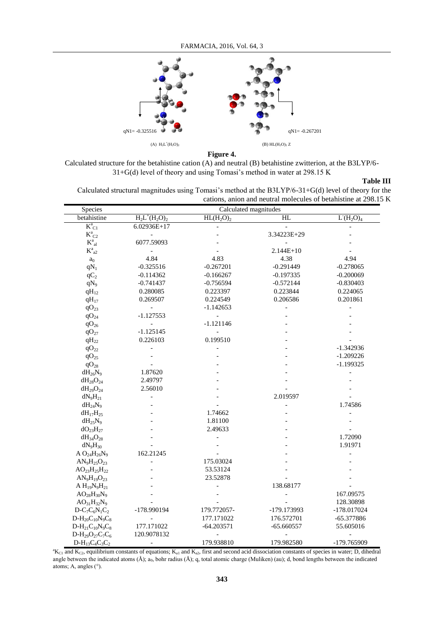

**Figure 4.**

Calculated structure for the betahistine cation (A) and neutral (B) betahistine zwitterion, at the B3LYP/6- 31+G(d) level of theory and using Tomasi's method in water at 298.15 K

#### **Table III**

Calculated structural magnitudes using Tomasi's method at the B3LYP/6-31+G(d) level of theory for the cations, anion and neutral molecules of betahistine at 298.15 K

| Species                | Calculated magnitudes        |                |                          |                          |
|------------------------|------------------------------|----------------|--------------------------|--------------------------|
| betahistine            | $H_2L^+(H_2O)_2$             | $HL(H_2O)_2$   | HL                       | $L(H_2O)4$               |
| $K_{C1}^a$             | $6.02936E+17$                |                |                          |                          |
| $K^a_{C2}$             | $\blacksquare$               |                | 3.34223E+29              |                          |
| $K^a_{al}$             | 6077.59093                   |                |                          |                          |
| $K^a_{a2}$             | $\qquad \qquad \blacksquare$ |                | $2.144E+10$              |                          |
| $\mathbf{a}_0$         | 4.84                         | 4.83           | 4.38                     | 4.94                     |
| $qN_1$                 | $-0.325516$                  | $-0.267201$    | $-0.291449$              | $-0.278065$              |
| $qC_2$                 | $-0.114362$                  | $-0.166267$    | $-0.197335$              | $-0.200069$              |
| qN <sub>9</sub>        | $-0.741437$                  | $-0.756594$    | $-0.572144$              | $-0.830403$              |
| $qH_{12}$              | 0.280085                     | 0.223397       | 0.223844                 | 0.224065                 |
| $qH_{17}$              | 0.269507                     | 0.224549       | 0.206586                 | 0.201861                 |
| $qO_{23}$              | $\blacksquare$               | $-1.142653$    | $\overline{\phantom{0}}$ | $\overline{\phantom{a}}$ |
| $qO_{24}$              | $-1.127553$                  | $\overline{a}$ |                          |                          |
| $qO_{26}$              | $\frac{1}{2}$                | $-1.121146$    |                          |                          |
| $qO_{27}$              | $-1.125145$                  | $\overline{a}$ |                          |                          |
| $qH_{22}$              | 0.226103                     | 0.199510       |                          |                          |
| $qO_{22}$              | $\overline{a}$               |                |                          | $-1.342936$              |
| $qO_{25}$              |                              |                |                          | $-1.209226$              |
| $qO_{28}$              |                              |                |                          | $-1.199325$              |
| $dH_{26}N_9$           | 1.87620                      |                |                          | L,                       |
| $dH_{28}O_{24}$        | 2.49797                      |                |                          |                          |
| $dH_{29}O_{24}$        | 2.56010                      |                |                          |                          |
| $dN_9H_{21}$           | $\overline{a}$               |                | 2.019597                 |                          |
| $dH_{24}N_9$           |                              |                |                          | 1.74586                  |
| $dH_{17}H_{25}$        |                              | 1.74662        |                          |                          |
| $dH_{25}N_9$           |                              | 1.81100        |                          |                          |
| $dO_{23}H_{27}$        |                              | 2.49633        |                          |                          |
| $dH_{34}O_{28}$        |                              |                |                          | 1.72090                  |
| $dN_9H_{30}$           |                              |                |                          | 1.91971                  |
| A $O_{24}H_{26}N_9$    | 162.21245                    |                |                          |                          |
| $AN_9H_{25}O_{23}$     |                              | 175.03024      |                          |                          |
| $AO_{23}H_{25}H_{22}$  |                              | 53.53124       |                          |                          |
| $AN_9H_{19}O_{23}$     |                              | 23.52878       |                          |                          |
| $A H_{19}N_9H_{21}$    |                              |                | 138.68177                |                          |
| $AO_{28}H_{30}N_9$     |                              |                |                          | 167.09575                |
| $AO_{31}H_{32}N_9$     |                              |                |                          | 128.30898                |
| $D-C_7C_6N_1C_2$       | -178.990194                  | 179.772057-    | -179.173993              | -178.017024              |
| $D-H_{20}C_{10}N_9C_8$ | $\qquad \qquad \blacksquare$ | 177.171022     | 176.572701               | $-65.377886$             |
| $D-H_{21}C_{10}N_9C_8$ | 177.171022                   | $-64.203571$   | $-65.660557$             | 55.605016                |
| $D-H_{29}O_{27}C_7C_6$ | 120.9078132                  | $\overline{a}$ |                          |                          |
| $D-H_{13}C_4C_3C_2$    | $\qquad \qquad \blacksquare$ | 179.938810     | 179.982580               | -179.765909              |

 ${}^a$ K<sub>C1</sub> and K<sub>C2</sub>, equilibrium constants of equations; K<sub>a1</sub> and K<sub>a2</sub>, first and second acid dissociation constants of species in water; D, dihedral angle between the indicated atoms  $(\hat{A})$ ;  $\hat{a}_0$ , bohr radius  $(\hat{A})$ ; q, total atomic charge (Muliken) (au); d, bond lengths between the indicated atoms; A, angles (°).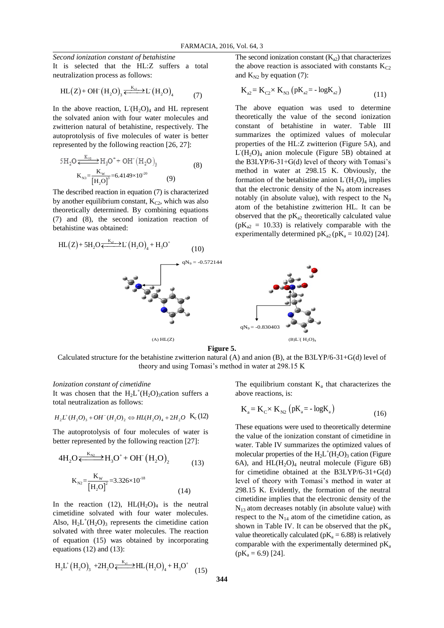## *Second ionization constant of betahistine*

It is selected that the HL:Z suffers a total neutralization process as follows:

$$
HL(Z) + OH^{'} (H_2O)_3 \xleftarrow{K_2} L (H_2O)_4
$$
 (7)

In the above reaction,  $L^2(H_2O)_4$  and HL represent the solvated anion with four water molecules and zwitterion natural of betahistine, respectively. The autoprotolysis of five molecules of water is better represented by the following reaction [26, 27]:

$$
5H_2O \xrightarrow{K_{32}} H_3O^+ + OH^-(H_2O)_3
$$
  
\n
$$
K_{N3} = \frac{K_W}{[H_2O]^3} = 6.4149 \times 10^{-20}
$$
 (9)

The described reaction in equation (7) is characterized by another equilibrium constant,  $K<sub>C2</sub>$ , which was also theoretically determined. By combining equations (7) and (8), the second ionization reaction of betahistine was obtained:

HL(Z)+ 5H<sub>2</sub>O
$$
\xrightarrow{K_{12}}
$$
 - L (H<sub>2</sub>O)<sub>4</sub> + H<sub>3</sub>O<sup>+</sup> (10)  
qN<sub>9</sub> = -0.572144

 $(A)$   $HL(Z)$ 

The second ionization constant  $(K_{a2})$  that characterizes the above reaction is associated with constants  $K_{C2}$ and  $K_{N2}$  by equation (7):

$$
K_{a2} = K_{C2} \times K_{N3} (pK_{a2} = -\log K_{a2})
$$
 (11)

The above equation was used to determine theoretically the value of the second ionization constant of betahistine in water. Table III summarizes the optimized values of molecular properties of the HL:Z zwitterion (Figure 5A), and  $L(H_2O)_4$  anion molecule (Figure 5B) obtained at the B3LYP/6-31+G(d) level of theory with Tomasi's method in water at 298.15 K. Obviously, the formation of the betahistine anion  $L(H_2O)_4$  implies that the electronic density of the  $N_9$  atom increases notably (in absolute value), with respect to the  $N_9$ atom of the betahistine zwitterion HL. It can be observed that the  $pK_{a2}$  theoretically calculated value  $(pK_{a2} = 10.33)$  is relatively comparable with the experimentally determined  $pK_{a2}$  ( $pK_a$  = 10.02) [24].



**Figure 5.**

Calculated structure for the betahistine zwitterion natural (A) and anion (B), at the B3LYP/6-31+G(d) level of theory and using Tomasi's method in water at 298.15 K

#### *Ionization constant of cimetidine*

It was chosen that the  $H_2L^+(H_2O)_3$  cation suffers a total neutralization as follows:

$$
H_2L^+(H_2O)_3 + OH^-(H_2O)_2 \Leftrightarrow HL(H_2O)_4 + 2H_2O \quad \text{K}_c(12)
$$

The autoprotolysis of four molecules of water is better represented by the following reaction [27]:

$$
4H_2O \xleftarrow{K_{N2}} H_3O^+ + OH^-(H_2O)_2
$$
\n
$$
K_{N2} = \frac{K_w}{[H_2O]^2} = 3.326 \times 10^{-18}
$$
\n(14)

In the reaction (12),  $HL(H_2O)_4$  is the neutral cimetidine solvated with four water molecules. Also,  $H_2L^+(H_2O)_3$  represents the cimetidine cation solvated with three water molecules. The reaction of equation (15) was obtained by incorporating equations (12) and (13):

$$
H_2L^+(H_2O)_3
$$
 +2H<sub>2</sub>O $\xrightarrow{K_{al}} H_L(H_2O)_4 + H_3O^+$  (15)

The equilibrium constant  $K_a$  that characterizes the above reactions, is:

$$
\mathbf{K}_{a} = \mathbf{K}_{\mathbf{C}} \times \mathbf{K}_{N2} \left( p\mathbf{K}_{a} = -\log \mathbf{K}_{a} \right)
$$
 (16)

These equations were used to theoretically determine the value of the ionization constant of cimetidine in water. Table IV summarizes the optimized values of molecular properties of the  $H_2L^+(H_2O)_3$  cation (Figure 6A), and  $HL(H_2O)_4$  neutral molecule (Figure 6B) for cimetidine obtained at the B3LYP/6-31+G(d) level of theory with Tomasi's method in water at 298.15 K. Evidently, the formation of the neutral cimetidine implies that the electronic density of the  $N_{13}$  atom decreases notably (in absolute value) with respect to the  $N_{14}$  atom of the cimetidine cation, as shown in Table IV. It can be observed that the  $pK_a$ value theoretically calculated ( $pK_a = 6.88$ ) is relatively comparable with the experimentally determined  $pK_a$  $(pK_a = 6.9)$  [24].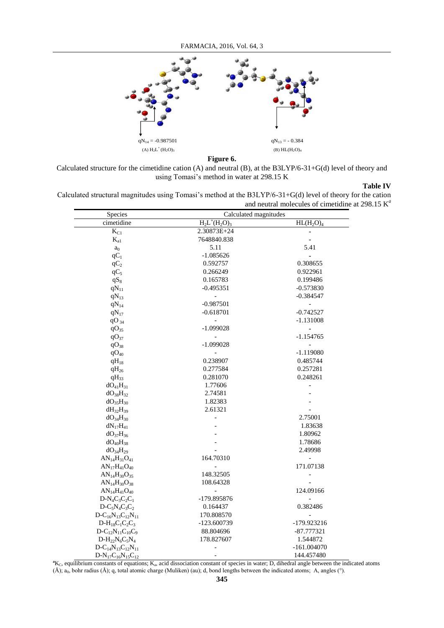

# **Figure 6.**

Calculated structure for the cimetidine cation (A) and neutral (B), at the B3LYP/6-31+G(d) level of theory and using Tomasi's method in water at 298.15 K

## **Table IV**

Calculated structural magnitudes using Tomasi's method at the B3LYP/6-31+G(d) level of theory for the cation and neutral molecules of cimetidine at 298.15 K*<sup>a</sup>*

| Species                      | Calculated magnitudes    |                                              |  |
|------------------------------|--------------------------|----------------------------------------------|--|
| cimetidine                   | $H_2L^+(H_2O)_3$         | $\overline{\text{HL}}(\text{H}_2\text{O})_4$ |  |
| $K_{C1}$                     | 2.30873E+24              |                                              |  |
| $K_{a1}$                     | 7648840.838              |                                              |  |
| a <sub>0</sub>               | 5.11                     | 5.41                                         |  |
| $qC_1$                       | $-1.085626$              |                                              |  |
| $qC_2$                       | 0.592757                 | 0.308655                                     |  |
| $qC_5$                       | 0.266249                 | 0.922961                                     |  |
| $qS_8$                       | 0.165783                 | 0.199486                                     |  |
| $qN_{11}$                    | $-0.495351$              | $-0.573830$                                  |  |
| $qN_{13}$                    | $\overline{\phantom{a}}$ | $-0.384547$                                  |  |
| $qN_{14}$                    | $-0.987501$              | $\overline{a}$                               |  |
| $qN_{17}$                    | $-0.618701$              | $-0.742527$                                  |  |
| $qO_{34}$                    | $\overline{\phantom{a}}$ | $-1.131008$                                  |  |
| $qO_{35}$                    | $-1.099028$              | $\blacksquare$                               |  |
| $qO_{37}$                    |                          | $-1.154765$                                  |  |
| $qO_{38}$                    | $-1.099028$              |                                              |  |
| $qO_{40}$                    |                          | $-1.119080$                                  |  |
| $qH_{18}$                    | 0.238907                 | 0.485744                                     |  |
| $qH_{26}$                    | 0.277584                 | 0.257281                                     |  |
| $qH_{33}$                    | 0.281070                 | 0.248261                                     |  |
| $dO_{41}H_{31}$              | 1.77606                  |                                              |  |
| $dO_{38}H_{32}$              | 2.74581                  |                                              |  |
| $dO_{35}H_{30}$              | 1.82383                  |                                              |  |
| $dH_{32}H_{39}$              | 2.61321                  |                                              |  |
| $dO_{34}H_{30}$              | $\overline{a}$           | 2.75001                                      |  |
| $dN_{17}H_{41}$              |                          | 1.83638                                      |  |
| $dO_{37}H_{36}$              |                          | 1.80962                                      |  |
| $dO_{40}H_{38}$              |                          | 1.78686                                      |  |
| $dO_{34}H_{29}$              |                          | 2.49998                                      |  |
| $AN_{14}H_{31}O_{41}$        | 164.70310                |                                              |  |
| $AN_{17}H_{41}O_{40}$        |                          | 171.07138                                    |  |
| $AN_{14}H_{30}O_{35}$        | 148.32505                |                                              |  |
| $AN_{14}H_{30}O_{38}$        | 108.64328                |                                              |  |
| $AN_{14}H_{41}O_{40}$        | $\qquad \qquad \Box$     | 124.09166                                    |  |
| $D-N_4C_3C_2C_1$             | -179.895876              |                                              |  |
| $D-C_5N_4C_3C_2$             | 0.164437                 | 0.382486                                     |  |
| $D-C_{16}N_{13}C_{12}N_{11}$ | 170.808570               |                                              |  |
| $D-H_{18}C_1C_2C_3$          | -123.600739              | -179.923216                                  |  |
| $D-C_{12}N_{11}C_{10}C_9$    | 88.804696                | $-87.777321$                                 |  |
| $D-H_{22}N_6C_5N_4$          | 178.827607               | 1.544872                                     |  |
| $D-C_{14}N_{13}C_{12}N_{11}$ | -                        | $-161.004070$                                |  |
| $D-N_{17}C_{16}N_{15}C_{12}$ | $\overline{a}$           | 144.457480                                   |  |

<sup>a</sup>K<sub>C</sub>, equilibrium constants of equations; K<sub>a</sub>, acid dissociation constant of species in water; D, dihedral angle between the indicated atoms  $(A)$ ;  $a_0$ , bohr radius  $(A)$ ; q, total atomic charge (Muliken) (au); d, bond lengths between the indicated atoms; A, angles (°).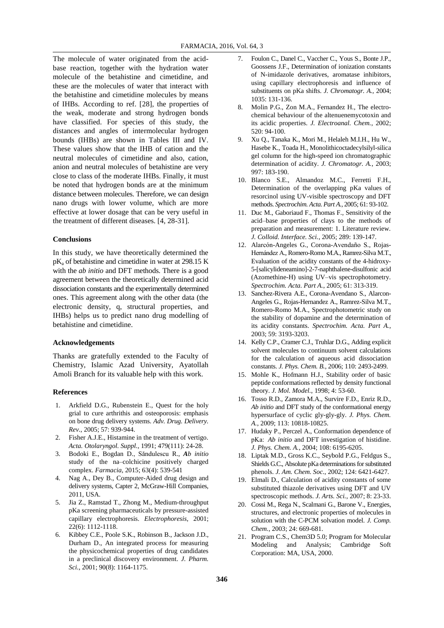The molecule of water originated from the acidbase reaction, together with the hydration water molecule of the betahistine and cimetidine, and these are the molecules of water that interact with the betahistine and cimetidine molecules by means of IHBs. According to ref. [28], the properties of the weak, moderate and strong hydrogen bonds have classified. For species of this study, the distances and angles of intermolecular hydrogen bounds (IHBs) are shown in Tables III and IV. These values show that the IHB of cation and the neutral molecules of cimetidine and also, cation, anion and neutral molecules of betahistine are very close to class of the moderate IHBs. Finally, it must be noted that hydrogen bonds are at the minimum distance between molecules. Therefore, we can design nano drugs with lower volume, which are more effective at lower dosage that can be very useful in the treatment of different diseases. [4, 28-31].

#### **Conclusions**

In this study, we have theoretically determined the  $pK<sub>a</sub>$  of betahistine and cimetidine in water at 298.15 K with the *ab initio* and DFT methods. There is a good agreement between the theoretically determined acid dissociation constants and the experimentally determined ones. This agreement along with the other data (the electronic density, q, structural properties, and IHBs) helps us to predict nano drug modelling of betahistine and cimetidine.

#### **Acknowledgements**

Thanks are gratefully extended to the Faculty of Chemistry, Islamic Azad University, Ayatollah Amoli Branch for its valuable help with this work.

## **References**

- 1. Arkfield D.G., Rubenstein E., Quest for the holy grial to cure arthrithis and osteoporosis: emphasis on bone drug delivery systems. *Adv. Drug. Delivery. Rev.*, 2005; 57: 939-944.
- 2. Fisher A.J.E., Histamine in the treatment of vertigo. *Acta. Otolaryngol. Suppl.*, 1991; 479(111): 24-28.
- 3. Bodoki E., Bogdan D., Săndulescu R., *Ab initio*  study of the na–colchicine positively charged complex. *Farmacia*, 2015; 63(4): 539-541
- 4. Nag A., Dey B., Computer-Aided drug design and delivery systems, Capter 2, McGraw-Hill Companies, 2011, USA.
- 5. Jia Z., Ramstad T., Zhong M., Medium-throughput pKa screening pharmaceuticals by pressure-assisted capillary electrophoresis. *Electrophoresis*, 2001; 22(6): 1112-1118.
- 6. Kibbey C.E., Poole S.K., Robinson B., Jackson J.D., Durham D., An integrated process for measuring the physicochemical properties of drug candidates in a preclinical discovery environment. *J. Pharm. Sci.*, 2001; 90(8): 1164-1175.
- 7. Foulon C., Danel C., Vaccher C., Yous S., Bonte J.P., Goossens J.F., Determination of ionization constants of N-imidazole derivatives, aromatase inhibitors, using capillary electrophoresis and influence of substituents on pKa shifts. *J. Chromatogr. A.*, 2004; 1035: 131-136.
- 8. Molin P.G., Zon M.A., Fernandez H., The electrochemical behaviour of the altenuenemycotoxin and its acidic properties. *J. Electroanal. Chem.*, 2002; 520: 94-100.
- 9. Xu Q., Tanaka K., Mori M., Helaleh M.I.H., Hu W., Hasebe K., Toada H., Monolithicoctadecylsilyl-silica gel column for the high-speed ion chromatographic determination of acidity. *J. Chromatogr. A.*, 2003; 997: 183-190.
- 10. Blanco S.E., Almandoz M.C., Ferretti F.H., Determination of the overlapping pKa values of resorcinol using UV-visible spectroscopy and DFT methods. *Spectrochim. Acta. Part A.*, 2005; 61: 93-102.
- 11. Duc M., Gaboriaud F., Thomas F., Sensitivity of the acid–base properties of clays to the methods of preparation and measurement: 1. Literature review. *J. Colloid. Interface. Sci.*, 2005; 289: 139-147.
- 12. Alarcón-Angeles G., Corona-Avendaño S., Rojas-Hernández A., Romero-Romo M.A., Ramrez-Silva M.T., Evaluation of the acidity constants of the 4-hidroxy-5-[salicylideneamino]-2-7-naphthalene-disulfonic acid (Azomethine-H) using UV–vis spectrophotometry. *Spectrochim. Acta. Part A.*, 2005; 61: 313-319.
- 13. Sanchez-Rivera A.E., Corona-Avendano S., Alarcon-Angeles G., Rojas-Hernandez A., Ramrez-Silva M.T., Romero-Romo M.A., Spectrophotometric study on the stability of dopamine and the determination of its acidity constants. *Spectrochim. Acta. Part A.*, 2003; 59: 3193-3203.
- 14. Kelly C.P., Cramer C.J., Truhlar D.G., Adding explicit solvent molecules to continuum solvent calculations for the calculation of aqueous acid dissociation constants. *J. Phys. Chem. B.*, 2006; 110: 2493-2499.
- 15. Mohle K., Hofmann H.J., Stability order of basic peptide conformations reflected by density functional theory. *J. Mol. Model.*, 1998; 4: 53-60.
- 16. Tosso R.D., Zamora M.A., Survire F.D., Enriz R.D., *Ab initio* and DFT study of the conformational energy hypersurface of cyclic gly-gly-gly. *J. Phys. Chem. A.*, 2009; 113: 10818-10825.
- 17. Hudaky P., Perczel A., Conformation dependence of pKa:  *Ab initio* and DFT investigation of histidine. *J. Phys. Chem. A.*, 2004; 108: 6195-6205.
- 18. Liptak M.D., Gross K.C., Seybold P.G., Feldgus S., Shields G.C., Absolute pKa determinations for substituted phenols. *J. Am. Chem. Soc.*, 2002; 124: 6421-6427.
- 19. Elmali D., Calculation of acidity constants of some substituted thiazole derivatives using DFT and UV spectroscopic methods. *J. Arts. Sci.*, 2007; 8: 23-33.
- 20. Cossi M., Rega N., Scalmani G., Barone V., Energies, structures, and electronic properties of molecules in solution with the C-PCM solvation model. *J. Comp. Chem.*, 2003; 24: 669-681.
- 21. Program C.S., Chem3D 5.0; Program for Molecular Modeling and Analysis; Cambridge Soft Corporation: MA, USA, 2000.